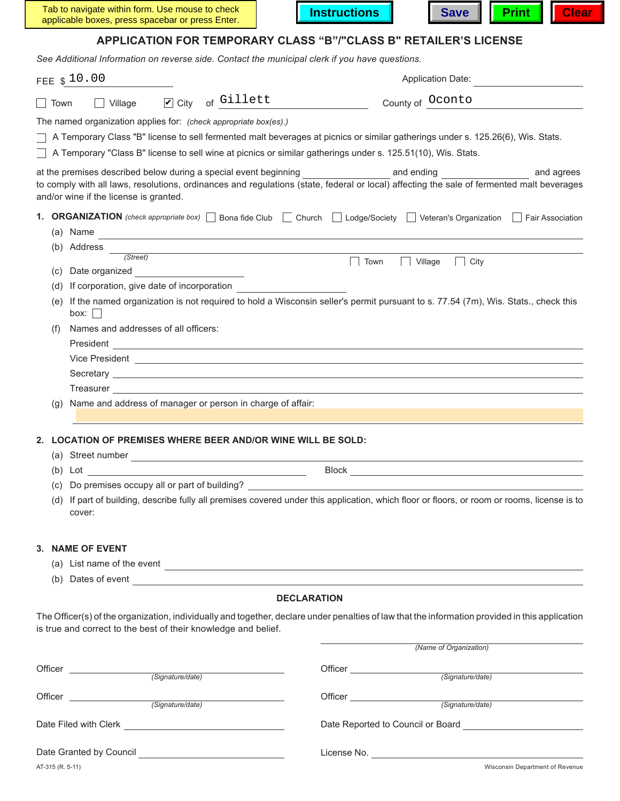| Tab to navigate within form. Use mouse to check  | <b>Instructions</b> |  |  | Save <b>Print</b> Clear |  |
|--------------------------------------------------|---------------------|--|--|-------------------------|--|
| applicable boxes, press spacebar or press Enter. |                     |  |  |                         |  |



# **APPLICATION FOR TEMPORARY CLASS "B"/"CLASS B" RETAILER'S LICENSE**

*See Additional Information on reverse side. Contact the municipal clerk if you have questions.*

|                                                                                                                                         |     | FEE \$10.00                                                                                                                                                                                                                          |                                                                                                                       |                    | <b>Application Date:</b>                                                                                                                                                                                                                               |            |  |  |  |
|-----------------------------------------------------------------------------------------------------------------------------------------|-----|--------------------------------------------------------------------------------------------------------------------------------------------------------------------------------------------------------------------------------------|-----------------------------------------------------------------------------------------------------------------------|--------------------|--------------------------------------------------------------------------------------------------------------------------------------------------------------------------------------------------------------------------------------------------------|------------|--|--|--|
| Town                                                                                                                                    |     | $\triangleright$ City<br>$\Box$ Village                                                                                                                                                                                              | of Gillett                                                                                                            |                    | County of Oconto                                                                                                                                                                                                                                       |            |  |  |  |
|                                                                                                                                         |     | The named organization applies for: (check appropriate box(es).)                                                                                                                                                                     |                                                                                                                       |                    |                                                                                                                                                                                                                                                        |            |  |  |  |
|                                                                                                                                         |     | A Temporary Class "B" license to sell fermented malt beverages at picnics or similar gatherings under s. 125.26(6), Wis. Stats.                                                                                                      |                                                                                                                       |                    |                                                                                                                                                                                                                                                        |            |  |  |  |
|                                                                                                                                         |     | A Temporary "Class B" license to sell wine at picnics or similar gatherings under s. 125.51(10), Wis. Stats.                                                                                                                         |                                                                                                                       |                    |                                                                                                                                                                                                                                                        |            |  |  |  |
|                                                                                                                                         |     | at the premises described below during a special event beginning and and ending and ending                                                                                                                                           |                                                                                                                       |                    |                                                                                                                                                                                                                                                        | and agrees |  |  |  |
|                                                                                                                                         |     | to comply with all laws, resolutions, ordinances and regulations (state, federal or local) affecting the sale of fermented malt beverages                                                                                            |                                                                                                                       |                    |                                                                                                                                                                                                                                                        |            |  |  |  |
|                                                                                                                                         |     | and/or wine if the license is granted.                                                                                                                                                                                               |                                                                                                                       |                    |                                                                                                                                                                                                                                                        |            |  |  |  |
|                                                                                                                                         |     | 1. ORGANIZATION (check appropriate box) Bona fide Club Church Lodge/Society Veteran's Organization Fair Association                                                                                                                  |                                                                                                                       |                    |                                                                                                                                                                                                                                                        |            |  |  |  |
|                                                                                                                                         |     | (a) Name                                                                                                                                                                                                                             |                                                                                                                       |                    |                                                                                                                                                                                                                                                        |            |  |  |  |
|                                                                                                                                         |     | (b) Address                                                                                                                                                                                                                          |                                                                                                                       |                    |                                                                                                                                                                                                                                                        |            |  |  |  |
|                                                                                                                                         |     | (Street)                                                                                                                                                                                                                             |                                                                                                                       |                    | Village<br>City<br>Town                                                                                                                                                                                                                                |            |  |  |  |
|                                                                                                                                         |     | (c) Date organized                                                                                                                                                                                                                   |                                                                                                                       |                    |                                                                                                                                                                                                                                                        |            |  |  |  |
|                                                                                                                                         | (d) | If corporation, give date of incorporation                                                                                                                                                                                           |                                                                                                                       |                    |                                                                                                                                                                                                                                                        |            |  |  |  |
| If the named organization is not required to hold a Wisconsin seller's permit pursuant to s. 77.54 (7m), Wis. Stats., check this<br>(e) |     |                                                                                                                                                                                                                                      |                                                                                                                       |                    |                                                                                                                                                                                                                                                        |            |  |  |  |
| box:                                                                                                                                    |     |                                                                                                                                                                                                                                      |                                                                                                                       |                    |                                                                                                                                                                                                                                                        |            |  |  |  |
|                                                                                                                                         | (f) | Names and addresses of all officers:                                                                                                                                                                                                 |                                                                                                                       |                    |                                                                                                                                                                                                                                                        |            |  |  |  |
|                                                                                                                                         |     | President                                                                                                                                                                                                                            | <u> 1980 - Andrea Station Barbara, actor a component de la componentación de la componentación de la componentaci</u> |                    |                                                                                                                                                                                                                                                        |            |  |  |  |
|                                                                                                                                         |     |                                                                                                                                                                                                                                      |                                                                                                                       |                    |                                                                                                                                                                                                                                                        |            |  |  |  |
|                                                                                                                                         |     | Secretary <u>example and the secretary secretary and the secretary secretary secretary secretary secretary secretary secretary secretary secretary secretary secretary secretary secretary secretary secretary secretary secreta</u> |                                                                                                                       |                    |                                                                                                                                                                                                                                                        |            |  |  |  |
|                                                                                                                                         |     |                                                                                                                                                                                                                                      |                                                                                                                       |                    |                                                                                                                                                                                                                                                        |            |  |  |  |
|                                                                                                                                         |     | (g) Name and address of manager or person in charge of affair:                                                                                                                                                                       |                                                                                                                       |                    |                                                                                                                                                                                                                                                        |            |  |  |  |
|                                                                                                                                         |     |                                                                                                                                                                                                                                      |                                                                                                                       |                    |                                                                                                                                                                                                                                                        |            |  |  |  |
|                                                                                                                                         |     | 2. LOCATION OF PREMISES WHERE BEER AND/OR WINE WILL BE SOLD:                                                                                                                                                                         |                                                                                                                       |                    |                                                                                                                                                                                                                                                        |            |  |  |  |
|                                                                                                                                         |     | (a) Street number                                                                                                                                                                                                                    |                                                                                                                       |                    |                                                                                                                                                                                                                                                        |            |  |  |  |
|                                                                                                                                         |     | $(b)$ Lot                                                                                                                                                                                                                            |                                                                                                                       |                    |                                                                                                                                                                                                                                                        |            |  |  |  |
|                                                                                                                                         | (C) |                                                                                                                                                                                                                                      |                                                                                                                       |                    |                                                                                                                                                                                                                                                        |            |  |  |  |
|                                                                                                                                         | (d) | If part of building, describe fully all premises covered under this application, which floor or floors, or room or rooms, license is to                                                                                              |                                                                                                                       |                    |                                                                                                                                                                                                                                                        |            |  |  |  |
|                                                                                                                                         |     | cover:                                                                                                                                                                                                                               |                                                                                                                       |                    |                                                                                                                                                                                                                                                        |            |  |  |  |
|                                                                                                                                         |     |                                                                                                                                                                                                                                      |                                                                                                                       |                    |                                                                                                                                                                                                                                                        |            |  |  |  |
|                                                                                                                                         |     | 3. NAME OF EVENT                                                                                                                                                                                                                     |                                                                                                                       |                    |                                                                                                                                                                                                                                                        |            |  |  |  |
|                                                                                                                                         |     | (a) List name of the event $\overline{\phantom{a}}$                                                                                                                                                                                  |                                                                                                                       |                    |                                                                                                                                                                                                                                                        |            |  |  |  |
|                                                                                                                                         |     | (b) Dates of event $\overline{\phantom{a}}$                                                                                                                                                                                          |                                                                                                                       |                    |                                                                                                                                                                                                                                                        |            |  |  |  |
|                                                                                                                                         |     |                                                                                                                                                                                                                                      |                                                                                                                       | <b>DECLARATION</b> |                                                                                                                                                                                                                                                        |            |  |  |  |
|                                                                                                                                         |     |                                                                                                                                                                                                                                      |                                                                                                                       |                    |                                                                                                                                                                                                                                                        |            |  |  |  |
|                                                                                                                                         |     | The Officer(s) of the organization, individually and together, declare under penalties of law that the information provided in this application<br>is true and correct to the best of their knowledge and belief.                    |                                                                                                                       |                    |                                                                                                                                                                                                                                                        |            |  |  |  |
|                                                                                                                                         |     |                                                                                                                                                                                                                                      |                                                                                                                       |                    |                                                                                                                                                                                                                                                        |            |  |  |  |
|                                                                                                                                         |     |                                                                                                                                                                                                                                      |                                                                                                                       |                    | (Name of Organization)                                                                                                                                                                                                                                 |            |  |  |  |
|                                                                                                                                         |     | Officer (Signature/date)                                                                                                                                                                                                             |                                                                                                                       |                    | Officer (Signature/date)                                                                                                                                                                                                                               |            |  |  |  |
|                                                                                                                                         |     |                                                                                                                                                                                                                                      |                                                                                                                       |                    |                                                                                                                                                                                                                                                        |            |  |  |  |
|                                                                                                                                         |     | Officer <b>Exercise Structure Contract Contract Contract Contract Contract Contract Contract Contract Contract Contract Contract Contract Contract Contract Contract Contract Contract Contract Contract Contract Contract Con</b>   | (Signature/date)                                                                                                      |                    | Officer <b>Exercise Structure Contract Contract Contract Contract Contract Contract Contract Contract Contract Contract Contract Contract Contract Contract Contract Contract Contract Contract Contract Contract Contract Con</b><br>(Signature/date) |            |  |  |  |
|                                                                                                                                         |     |                                                                                                                                                                                                                                      |                                                                                                                       |                    |                                                                                                                                                                                                                                                        |            |  |  |  |
|                                                                                                                                         |     |                                                                                                                                                                                                                                      |                                                                                                                       |                    |                                                                                                                                                                                                                                                        |            |  |  |  |
|                                                                                                                                         |     |                                                                                                                                                                                                                                      |                                                                                                                       |                    |                                                                                                                                                                                                                                                        |            |  |  |  |
| Date Granted by Council                                                                                                                 |     |                                                                                                                                                                                                                                      | License No.                                                                                                           |                    |                                                                                                                                                                                                                                                        |            |  |  |  |